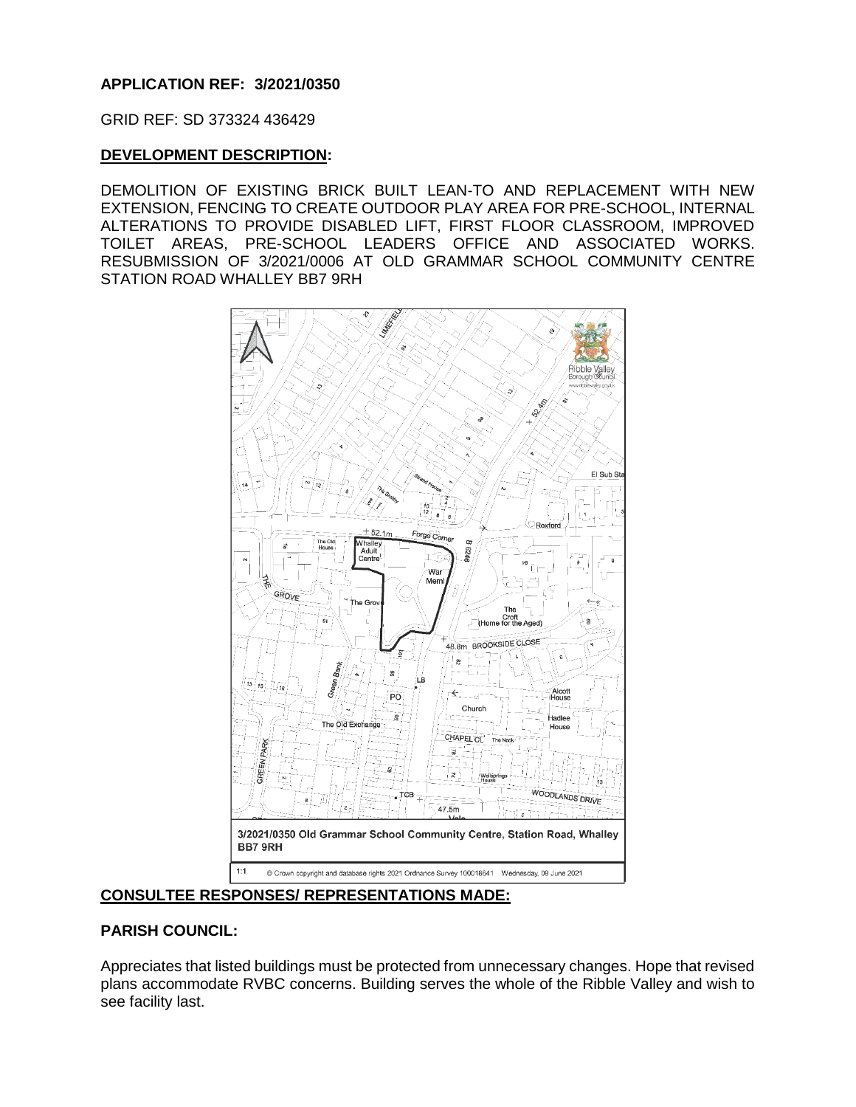# **APPLICATION REF: 3/2021/0350**

GRID REF: SD 373324 436429

### **DEVELOPMENT DESCRIPTION:**

DEMOLITION OF EXISTING BRICK BUILT LEAN-TO AND REPLACEMENT WITH NEW EXTENSION, FENCING TO CREATE OUTDOOR PLAY AREA FOR PRE-SCHOOL, INTERNAL ALTERATIONS TO PROVIDE DISABLED LIFT, FIRST FLOOR CLASSROOM, IMPROVED TOILET AREAS, PRE-SCHOOL LEADERS OFFICE AND ASSOCIATED WORKS. RESUBMISSION OF 3/2021/0006 AT OLD GRAMMAR SCHOOL COMMUNITY CENTRE STATION ROAD WHALLEY BB7 9RH



**CONSULTEE RESPONSES/ REPRESENTATIONS MADE:**

### **PARISH COUNCIL:**

Appreciates that listed buildings must be protected from unnecessary changes. Hope that revised plans accommodate RVBC concerns. Building serves the whole of the Ribble Valley and wish to see facility last.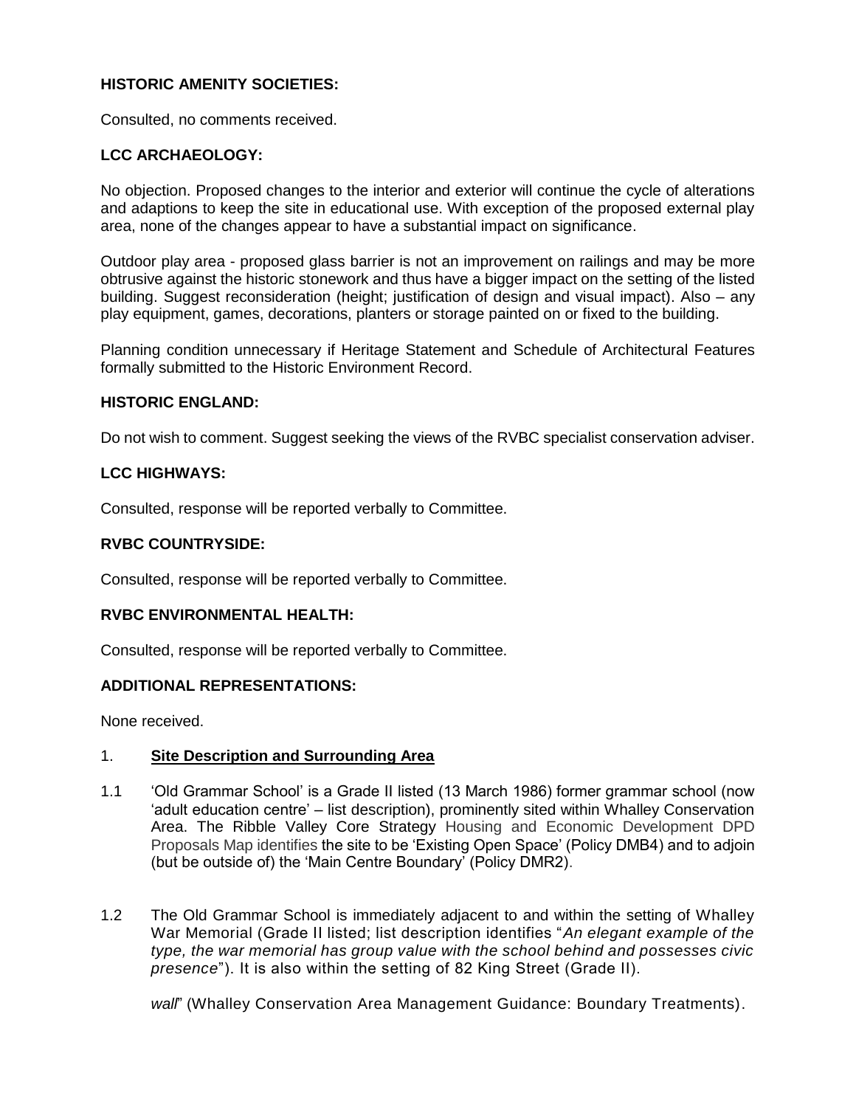# **HISTORIC AMENITY SOCIETIES:**

Consulted, no comments received.

# **LCC ARCHAEOLOGY:**

No objection. Proposed changes to the interior and exterior will continue the cycle of alterations and adaptions to keep the site in educational use. With exception of the proposed external play area, none of the changes appear to have a substantial impact on significance.

Outdoor play area - proposed glass barrier is not an improvement on railings and may be more obtrusive against the historic stonework and thus have a bigger impact on the setting of the listed building. Suggest reconsideration (height; justification of design and visual impact). Also – any play equipment, games, decorations, planters or storage painted on or fixed to the building.

Planning condition unnecessary if Heritage Statement and Schedule of Architectural Features formally submitted to the Historic Environment Record.

# **HISTORIC ENGLAND:**

Do not wish to comment. Suggest seeking the views of the RVBC specialist conservation adviser.

# **LCC HIGHWAYS:**

Consulted, response will be reported verbally to Committee.

# **RVBC COUNTRYSIDE:**

Consulted, response will be reported verbally to Committee.

### **RVBC ENVIRONMENTAL HEALTH:**

Consulted, response will be reported verbally to Committee.

### **ADDITIONAL REPRESENTATIONS:**

None received.

### 1. **Site Description and Surrounding Area**

- 1.1 'Old Grammar School' is a Grade II listed (13 March 1986) former grammar school (now 'adult education centre' – list description), prominently sited within Whalley Conservation Area. The Ribble Valley Core Strategy Housing and Economic Development DPD Proposals Map identifies the site to be 'Existing Open Space' (Policy DMB4) and to adjoin (but be outside of) the 'Main Centre Boundary' (Policy DMR2).
- 1.2 The Old Grammar School is immediately adjacent to and within the setting of Whalley War Memorial (Grade II listed; list description identifies "*An elegant example of the type, the war memorial has group value with the school behind and possesses civic presence*"). It is also within the setting of 82 King Street (Grade II).

*wall*" (Whalley Conservation Area Management Guidance: Boundary Treatments).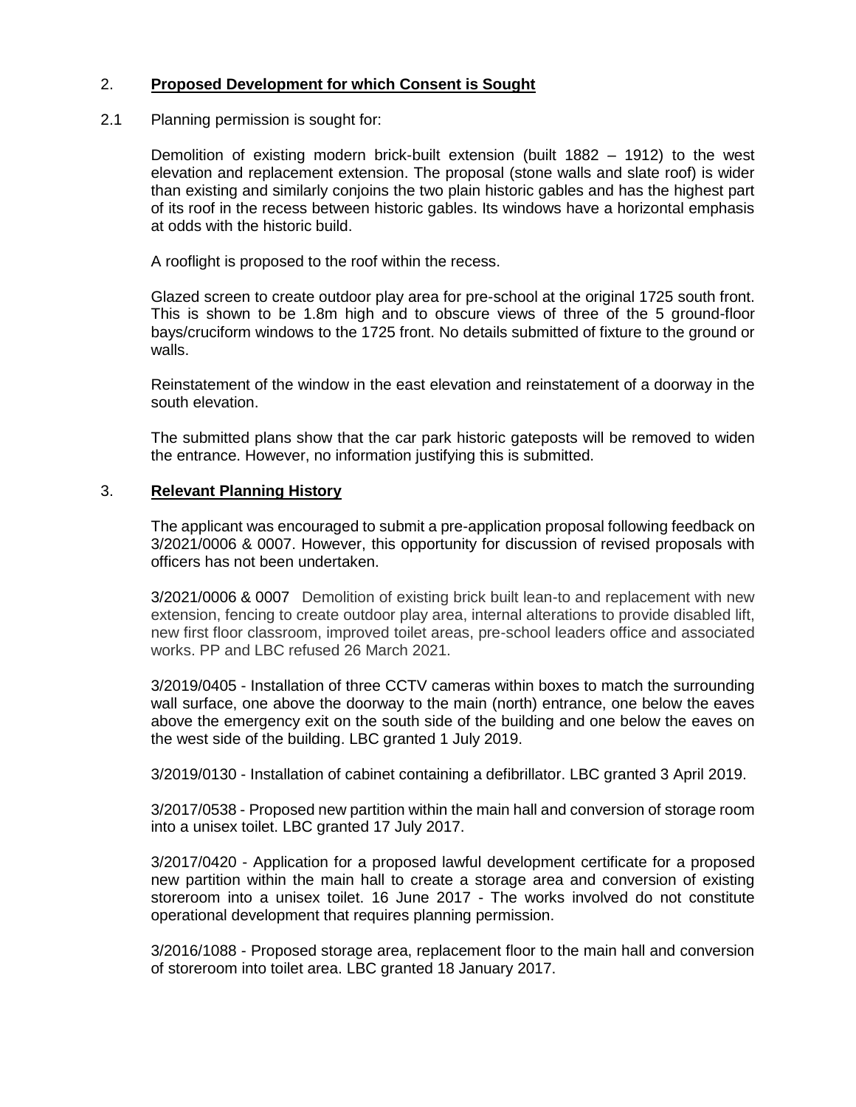# 2. **Proposed Development for which Consent is Sought**

# 2.1 Planning permission is sought for:

Demolition of existing modern brick-built extension (built 1882 – 1912) to the west elevation and replacement extension. The proposal (stone walls and slate roof) is wider than existing and similarly conjoins the two plain historic gables and has the highest part of its roof in the recess between historic gables. Its windows have a horizontal emphasis at odds with the historic build.

A rooflight is proposed to the roof within the recess.

Glazed screen to create outdoor play area for pre-school at the original 1725 south front. This is shown to be 1.8m high and to obscure views of three of the 5 ground-floor bays/cruciform windows to the 1725 front. No details submitted of fixture to the ground or walls.

Reinstatement of the window in the east elevation and reinstatement of a doorway in the south elevation.

The submitted plans show that the car park historic gateposts will be removed to widen the entrance. However, no information justifying this is submitted.

# 3. **Relevant Planning History**

The applicant was encouraged to submit a pre-application proposal following feedback on 3/2021/0006 & 0007. However, this opportunity for discussion of revised proposals with officers has not been undertaken.

3/2021/0006 & 0007 Demolition of existing brick built lean-to and replacement with new extension, fencing to create outdoor play area, internal alterations to provide disabled lift, new first floor classroom, improved toilet areas, pre-school leaders office and associated works. PP and LBC refused 26 March 2021.

3/2019/0405 - Installation of three CCTV cameras within boxes to match the surrounding wall surface, one above the doorway to the main (north) entrance, one below the eaves above the emergency exit on the south side of the building and one below the eaves on the west side of the building. LBC granted 1 July 2019.

3/2019/0130 - Installation of cabinet containing a defibrillator. LBC granted 3 April 2019.

3/2017/0538 - Proposed new partition within the main hall and conversion of storage room into a unisex toilet. LBC granted 17 July 2017.

3/2017/0420 - Application for a proposed lawful development certificate for a proposed new partition within the main hall to create a storage area and conversion of existing storeroom into a unisex toilet. 16 June 2017 - The works involved do not constitute operational development that requires planning permission.

3/2016/1088 - Proposed storage area, replacement floor to the main hall and conversion of storeroom into toilet area. LBC granted 18 January 2017.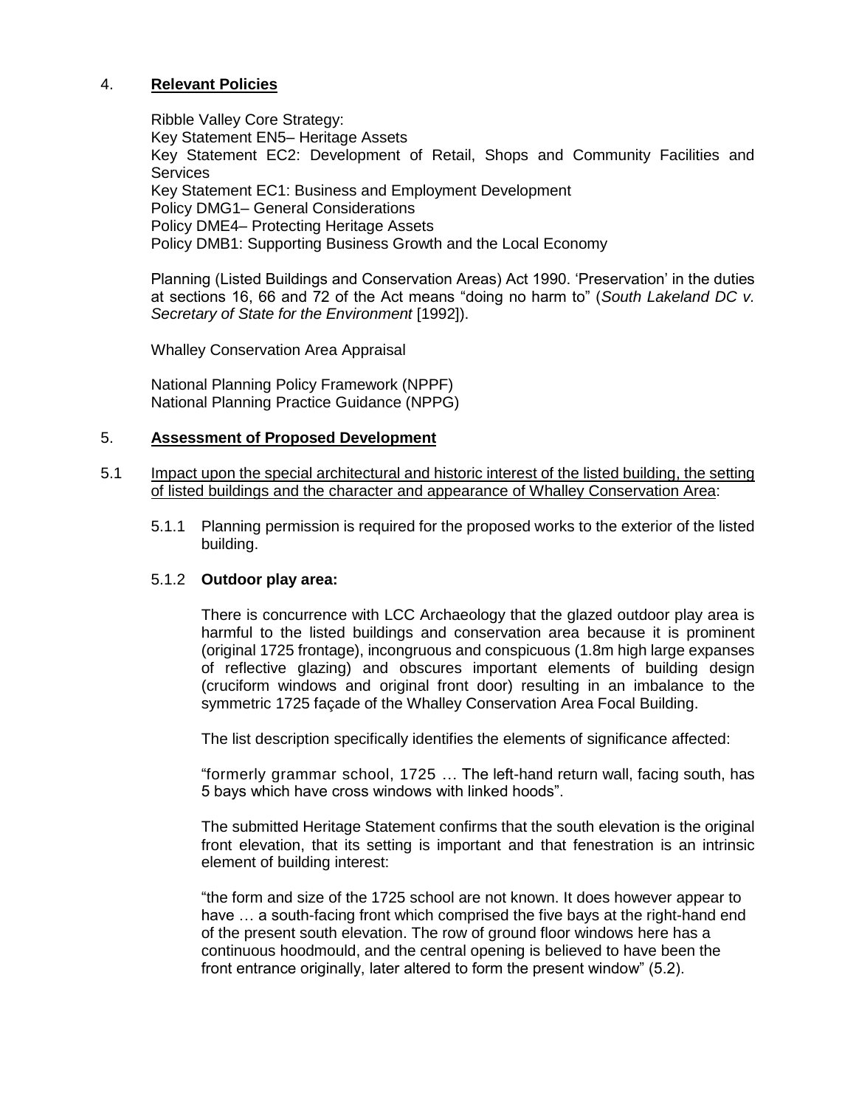# 4. **Relevant Policies**

Ribble Valley Core Strategy: Key Statement EN5– Heritage Assets Key Statement EC2: Development of Retail, Shops and Community Facilities and **Services** Key Statement EC1: Business and Employment Development Policy DMG1– General Considerations Policy DME4– Protecting Heritage Assets Policy DMB1: Supporting Business Growth and the Local Economy

Planning (Listed Buildings and Conservation Areas) Act 1990. 'Preservation' in the duties at sections 16, 66 and 72 of the Act means "doing no harm to" (*South Lakeland DC v. Secretary of State for the Environment* [1992]).

Whalley Conservation Area Appraisal

National Planning Policy Framework (NPPF) National Planning Practice Guidance (NPPG)

### 5. **Assessment of Proposed Development**

- 5.1 Impact upon the special architectural and historic interest of the listed building, the setting of listed buildings and the character and appearance of Whalley Conservation Area:
	- 5.1.1 Planning permission is required for the proposed works to the exterior of the listed building.

### 5.1.2 **Outdoor play area:**

There is concurrence with LCC Archaeology that the glazed outdoor play area is harmful to the listed buildings and conservation area because it is prominent (original 1725 frontage), incongruous and conspicuous (1.8m high large expanses of reflective glazing) and obscures important elements of building design (cruciform windows and original front door) resulting in an imbalance to the symmetric 1725 façade of the Whalley Conservation Area Focal Building.

The list description specifically identifies the elements of significance affected:

"formerly grammar school, 1725 … The left-hand return wall, facing south, has 5 bays which have cross windows with linked hoods".

The submitted Heritage Statement confirms that the south elevation is the original front elevation, that its setting is important and that fenestration is an intrinsic element of building interest:

"the form and size of the 1725 school are not known. It does however appear to have … a south-facing front which comprised the five bays at the right-hand end of the present south elevation. The row of ground floor windows here has a continuous hoodmould, and the central opening is believed to have been the front entrance originally, later altered to form the present window" (5.2).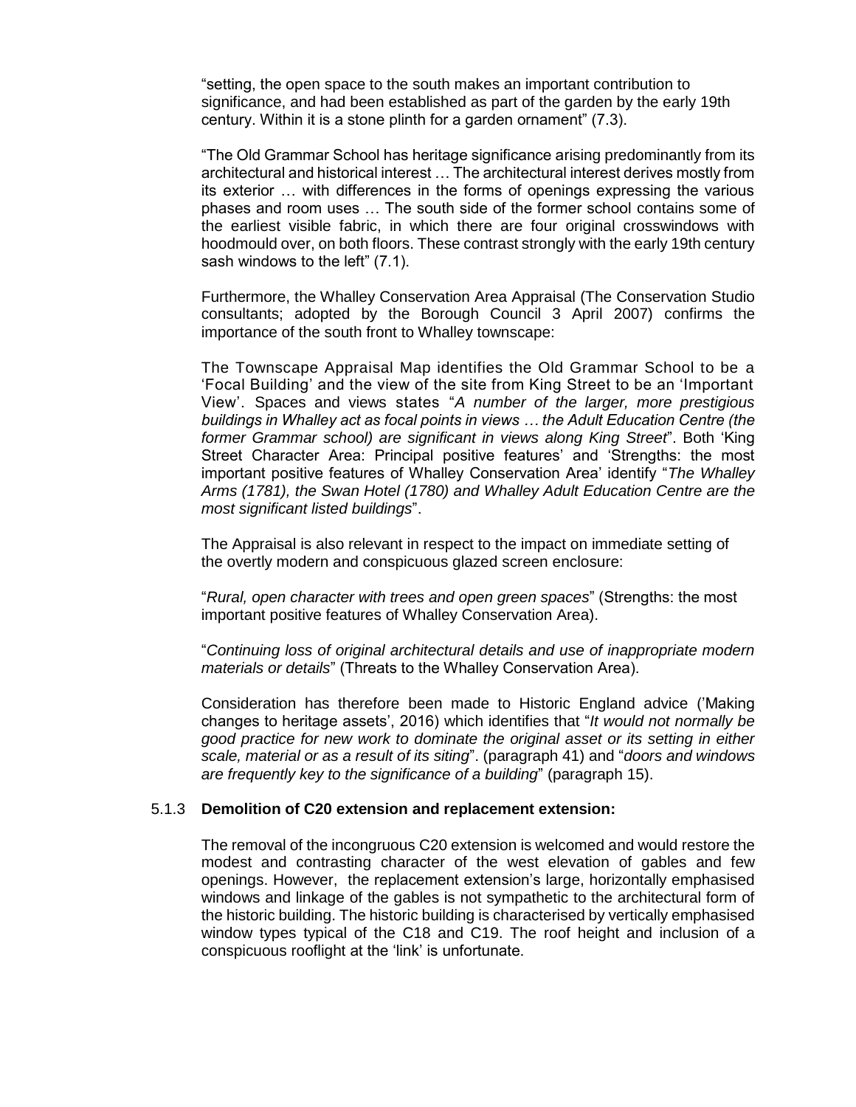"setting, the open space to the south makes an important contribution to significance, and had been established as part of the garden by the early 19th century. Within it is a stone plinth for a garden ornament" (7.3).

"The Old Grammar School has heritage significance arising predominantly from its architectural and historical interest … The architectural interest derives mostly from its exterior … with differences in the forms of openings expressing the various phases and room uses … The south side of the former school contains some of the earliest visible fabric, in which there are four original crosswindows with hoodmould over, on both floors. These contrast strongly with the early 19th century sash windows to the left" (7.1).

Furthermore, the Whalley Conservation Area Appraisal (The Conservation Studio consultants; adopted by the Borough Council 3 April 2007) confirms the importance of the south front to Whalley townscape:

The Townscape Appraisal Map identifies the Old Grammar School to be a 'Focal Building' and the view of the site from King Street to be an 'Important View'. Spaces and views states "*A number of the larger, more prestigious buildings in Whalley act as focal points in views … the Adult Education Centre (the former Grammar school) are significant in views along King Street*". Both 'King Street Character Area: Principal positive features' and 'Strengths: the most important positive features of Whalley Conservation Area' identify "*The Whalley Arms (1781), the Swan Hotel (1780) and Whalley Adult Education Centre are the most significant listed buildings*".

The Appraisal is also relevant in respect to the impact on immediate setting of the overtly modern and conspicuous glazed screen enclosure:

"*Rural, open character with trees and open green spaces*" (Strengths: the most important positive features of Whalley Conservation Area).

"*Continuing loss of original architectural details and use of inappropriate modern materials or details*" (Threats to the Whalley Conservation Area).

Consideration has therefore been made to Historic England advice ('Making changes to heritage assets', 2016) which identifies that "*It would not normally be good practice for new work to dominate the original asset or its setting in either scale, material or as a result of its siting*". (paragraph 41) and "*doors and windows are frequently key to the significance of a building*" (paragraph 15).

#### 5.1.3 **Demolition of C20 extension and replacement extension:**

The removal of the incongruous C20 extension is welcomed and would restore the modest and contrasting character of the west elevation of gables and few openings. However, the replacement extension's large, horizontally emphasised windows and linkage of the gables is not sympathetic to the architectural form of the historic building. The historic building is characterised by vertically emphasised window types typical of the C18 and C19. The roof height and inclusion of a conspicuous rooflight at the 'link' is unfortunate.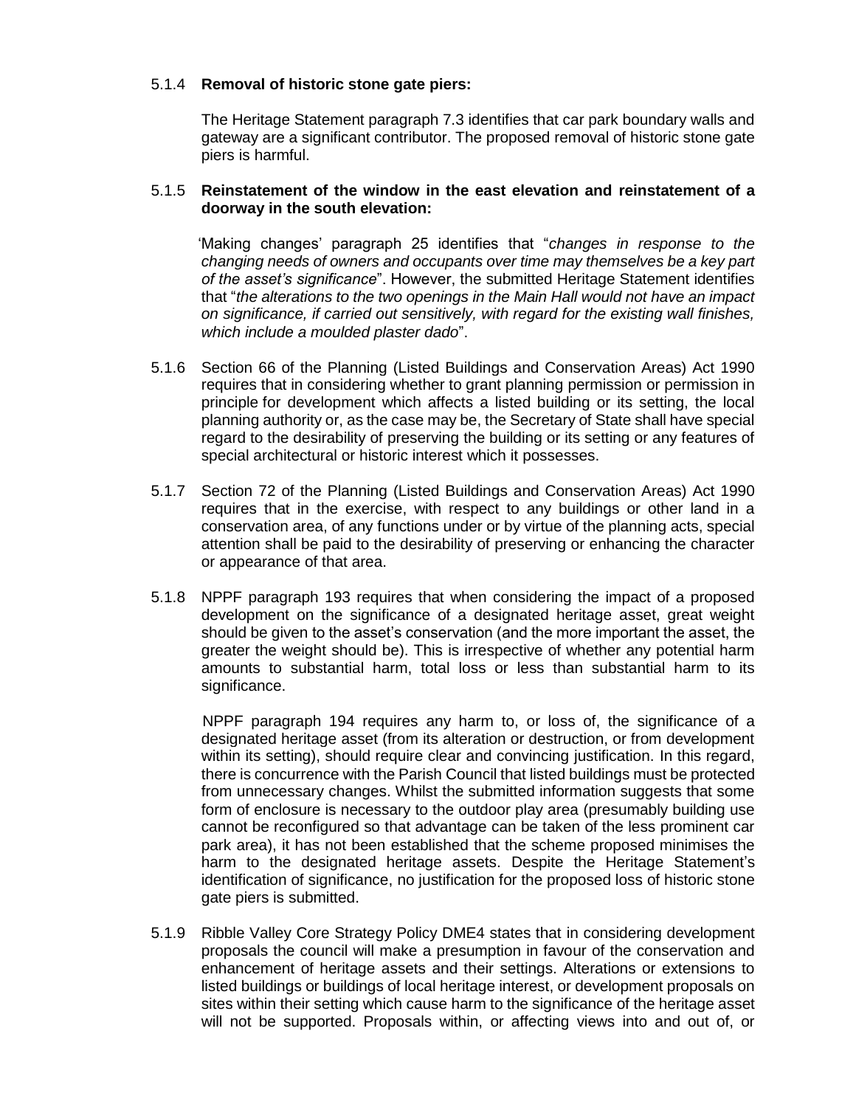# 5.1.4 **Removal of historic stone gate piers:**

The Heritage Statement paragraph 7.3 identifies that car park boundary walls and gateway are a significant contributor. The proposed removal of historic stone gate piers is harmful.

# 5.1.5 **Reinstatement of the window in the east elevation and reinstatement of a doorway in the south elevation:**

 'Making changes' paragraph 25 identifies that "*changes in response to the changing needs of owners and occupants over time may themselves be a key part of the asset's significance*". However, the submitted Heritage Statement identifies that "*the alterations to the two openings in the Main Hall would not have an impact on significance, if carried out sensitively, with regard for the existing wall finishes, which include a moulded plaster dado*".

- 5.1.6 Section 66 of the Planning (Listed Buildings and Conservation Areas) Act 1990 requires that in considering whether to grant planning permission or permission in principle for development which affects a listed building or its setting, the local planning authority or, as the case may be, the Secretary of State shall have special regard to the desirability of preserving the building or its setting or any features of special architectural or historic interest which it possesses.
- 5.1.7 Section 72 of the Planning (Listed Buildings and Conservation Areas) Act 1990 requires that in the exercise, with respect to any buildings or other land in a conservation area, of any functions under or by virtue of the planning acts, special attention shall be paid to the desirability of preserving or enhancing the character or appearance of that area.
- 5.1.8 NPPF paragraph 193 requires that when considering the impact of a proposed development on the significance of a designated heritage asset, great weight should be given to the asset's conservation (and the more important the asset, the greater the weight should be). This is irrespective of whether any potential harm amounts to substantial harm, total loss or less than substantial harm to its significance.

 NPPF paragraph 194 requires any harm to, or loss of, the significance of a designated heritage asset (from its alteration or destruction, or from development within its setting), should require clear and convincing justification. In this regard, there is concurrence with the Parish Council that listed buildings must be protected from unnecessary changes. Whilst the submitted information suggests that some form of enclosure is necessary to the outdoor play area (presumably building use cannot be reconfigured so that advantage can be taken of the less prominent car park area), it has not been established that the scheme proposed minimises the harm to the designated heritage assets. Despite the Heritage Statement's identification of significance, no justification for the proposed loss of historic stone gate piers is submitted.

5.1.9 Ribble Valley Core Strategy Policy DME4 states that in considering development proposals the council will make a presumption in favour of the conservation and enhancement of heritage assets and their settings. Alterations or extensions to listed buildings or buildings of local heritage interest, or development proposals on sites within their setting which cause harm to the significance of the heritage asset will not be supported. Proposals within, or affecting views into and out of, or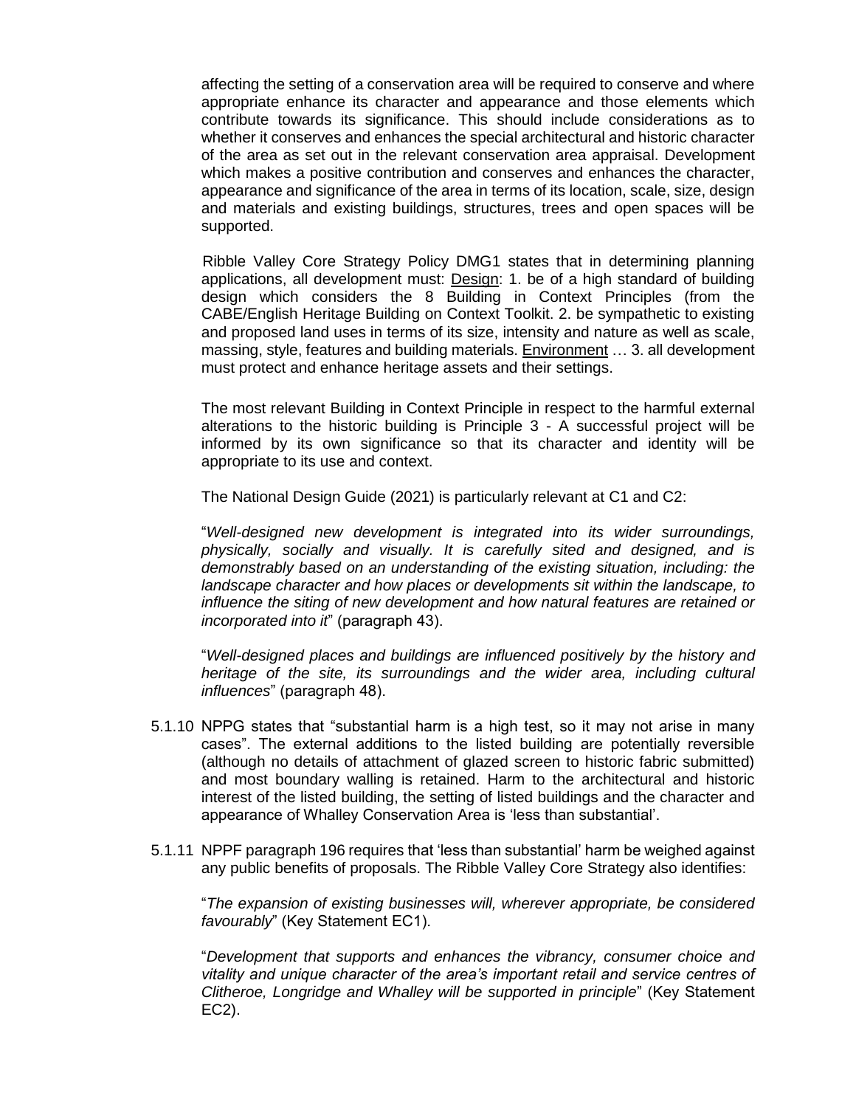affecting the setting of a conservation area will be required to conserve and where appropriate enhance its character and appearance and those elements which contribute towards its significance. This should include considerations as to whether it conserves and enhances the special architectural and historic character of the area as set out in the relevant conservation area appraisal. Development which makes a positive contribution and conserves and enhances the character, appearance and significance of the area in terms of its location, scale, size, design and materials and existing buildings, structures, trees and open spaces will be supported.

 Ribble Valley Core Strategy Policy DMG1 states that in determining planning applications, all development must: Design: 1. be of a high standard of building design which considers the 8 Building in Context Principles (from the CABE/English Heritage Building on Context Toolkit. 2. be sympathetic to existing and proposed land uses in terms of its size, intensity and nature as well as scale, massing, style, features and building materials. Environment … 3. all development must protect and enhance heritage assets and their settings.

The most relevant Building in Context Principle in respect to the harmful external alterations to the historic building is Principle 3 - A successful project will be informed by its own significance so that its character and identity will be appropriate to its use and context.

The National Design Guide (2021) is particularly relevant at C1 and C2:

"*Well-designed new development is integrated into its wider surroundings, physically, socially and visually. It is carefully sited and designed, and is demonstrably based on an understanding of the existing situation, including: the landscape character and how places or developments sit within the landscape, to influence the siting of new development and how natural features are retained or incorporated into it*" (paragraph 43).

"*Well-designed places and buildings are influenced positively by the history and heritage of the site, its surroundings and the wider area, including cultural influences*" (paragraph 48).

- 5.1.10 NPPG states that "substantial harm is a high test, so it may not arise in many cases". The external additions to the listed building are potentially reversible (although no details of attachment of glazed screen to historic fabric submitted) and most boundary walling is retained. Harm to the architectural and historic interest of the listed building, the setting of listed buildings and the character and appearance of Whalley Conservation Area is 'less than substantial'.
- 5.1.11 NPPF paragraph 196 requires that 'less than substantial' harm be weighed against any public benefits of proposals. The Ribble Valley Core Strategy also identifies:

"*The expansion of existing businesses will, wherever appropriate, be considered favourably*" (Key Statement EC1).

"*Development that supports and enhances the vibrancy, consumer choice and vitality and unique character of the area's important retail and service centres of Clitheroe, Longridge and Whalley will be supported in principle*" (Key Statement EC2).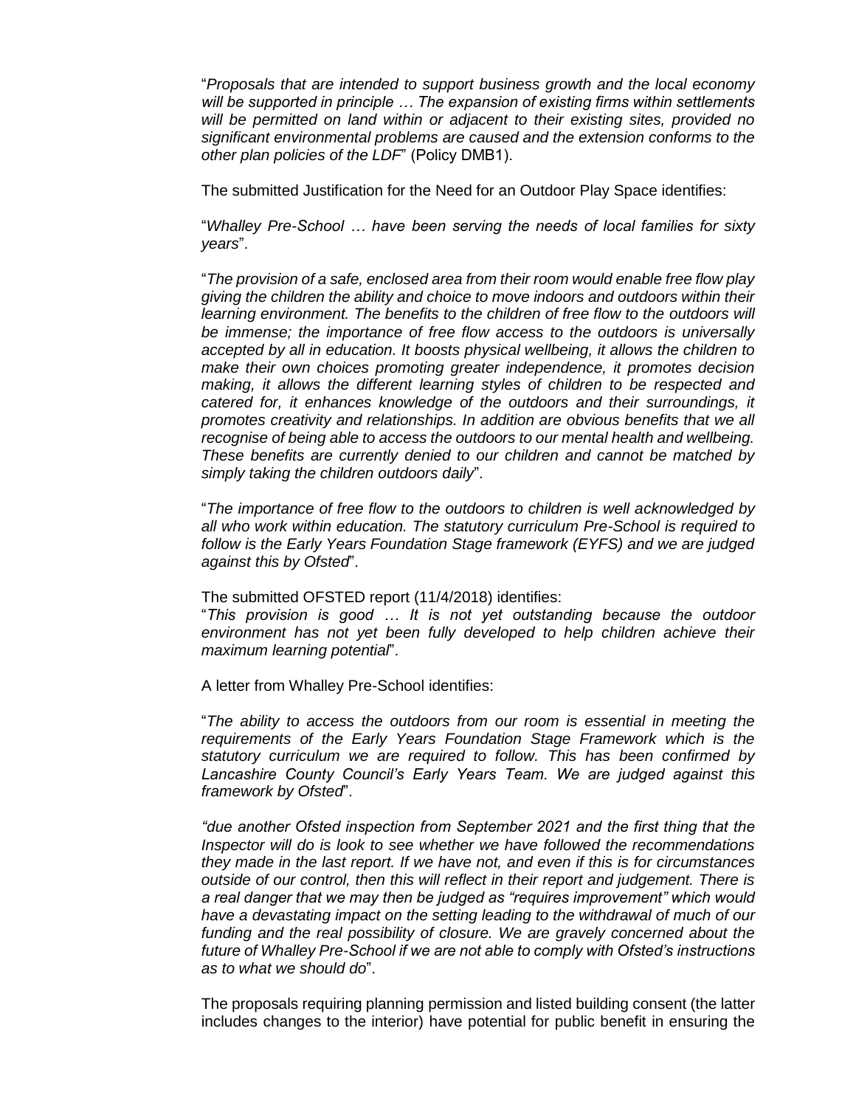"*Proposals that are intended to support business growth and the local economy will be supported in principle … The expansion of existing firms within settlements will be permitted on land within or adjacent to their existing sites, provided no significant environmental problems are caused and the extension conforms to the other plan policies of the LDF*" (Policy DMB1).

The submitted Justification for the Need for an Outdoor Play Space identifies:

"*Whalley Pre-School … have been serving the needs of local families for sixty years*".

"*The provision of a safe, enclosed area from their room would enable free flow play giving the children the ability and choice to move indoors and outdoors within their learning environment. The benefits to the children of free flow to the outdoors will be immense; the importance of free flow access to the outdoors is universally accepted by all in education. It boosts physical wellbeing, it allows the children to make their own choices promoting greater independence, it promotes decision making, it allows the different learning styles of children to be respected and catered for, it enhances knowledge of the outdoors and their surroundings, it promotes creativity and relationships. In addition are obvious benefits that we all recognise of being able to access the outdoors to our mental health and wellbeing. These benefits are currently denied to our children and cannot be matched by simply taking the children outdoors daily*".

"*The importance of free flow to the outdoors to children is well acknowledged by all who work within education. The statutory curriculum Pre-School is required to follow is the Early Years Foundation Stage framework (EYFS) and we are judged against this by Ofsted*".

The submitted OFSTED report (11/4/2018) identifies:

"*This provision is good … It is not yet outstanding because the outdoor environment has not yet been fully developed to help children achieve their maximum learning potential*".

A letter from Whalley Pre-School identifies:

"*The ability to access the outdoors from our room is essential in meeting the requirements of the Early Years Foundation Stage Framework which is the statutory curriculum we are required to follow. This has been confirmed by Lancashire County Council's Early Years Team. We are judged against this framework by Ofsted*".

*"due another Ofsted inspection from September 2021 and the first thing that the Inspector will do is look to see whether we have followed the recommendations they made in the last report. If we have not, and even if this is for circumstances outside of our control, then this will reflect in their report and judgement. There is a real danger that we may then be judged as "requires improvement" which would have a devastating impact on the setting leading to the withdrawal of much of our*  funding and the real possibility of closure. We are gravely concerned about the *future of Whalley Pre-School if we are not able to comply with Ofsted's instructions as to what we should do*".

The proposals requiring planning permission and listed building consent (the latter includes changes to the interior) have potential for public benefit in ensuring the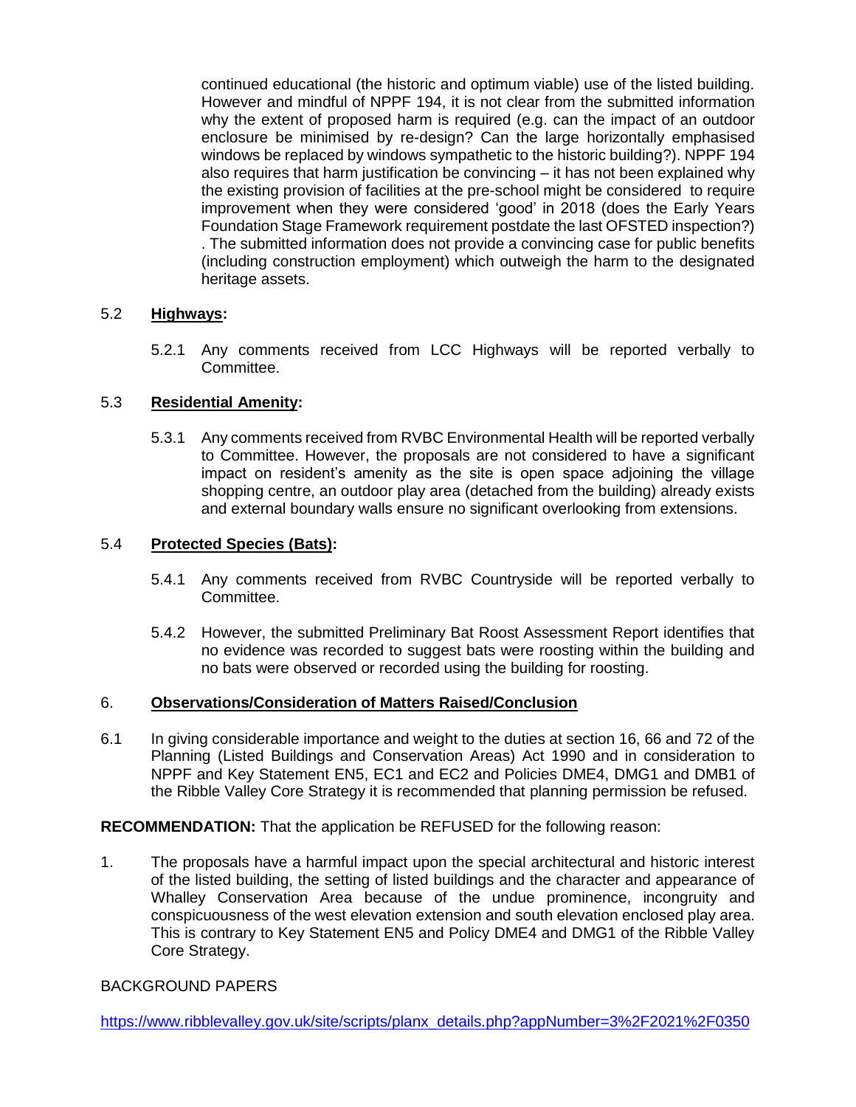continued educational (the historic and optimum viable) use of the listed building. However and mindful of NPPF 194, it is not clear from the submitted information why the extent of proposed harm is required (e.g. can the impact of an outdoor enclosure be minimised by re-design? Can the large horizontally emphasised windows be replaced by windows sympathetic to the historic building?). NPPF 194 also requires that harm justification be convincing – it has not been explained why the existing provision of facilities at the pre-school might be considered to require improvement when they were considered 'good' in 2018 (does the Early Years Foundation Stage Framework requirement postdate the last OFSTED inspection?) . The submitted information does not provide a convincing case for public benefits (including construction employment) which outweigh the harm to the designated heritage assets.

# 5.2 **Highways:**

5.2.1 Any comments received from LCC Highways will be reported verbally to Committee.

# 5.3 **Residential Amenity:**

5.3.1 Any comments received from RVBC Environmental Health will be reported verbally to Committee. However, the proposals are not considered to have a significant impact on resident's amenity as the site is open space adjoining the village shopping centre, an outdoor play area (detached from the building) already exists and external boundary walls ensure no significant overlooking from extensions.

### 5.4 **Protected Species (Bats):**

- 5.4.1 Any comments received from RVBC Countryside will be reported verbally to Committee.
- 5.4.2 However, the submitted Preliminary Bat Roost Assessment Report identifies that no evidence was recorded to suggest bats were roosting within the building and no bats were observed or recorded using the building for roosting.

### 6. **Observations/Consideration of Matters Raised/Conclusion**

6.1 In giving considerable importance and weight to the duties at section 16, 66 and 72 of the Planning (Listed Buildings and Conservation Areas) Act 1990 and in consideration to NPPF and Key Statement EN5, EC1 and EC2 and Policies DME4, DMG1 and DMB1 of the Ribble Valley Core Strategy it is recommended that planning permission be refused.

**RECOMMENDATION:** That the application be REFUSED for the following reason:

1. The proposals have a harmful impact upon the special architectural and historic interest of the listed building, the setting of listed buildings and the character and appearance of Whalley Conservation Area because of the undue prominence, incongruity and conspicuousness of the west elevation extension and south elevation enclosed play area. This is contrary to Key Statement EN5 and Policy DME4 and DMG1 of the Ribble Valley Core Strategy.

### BACKGROUND PAPERS

[https://www.ribblevalley.gov.uk/site/scripts/planx\\_details.php?appNumber=3%2F2021%2F0350](https://www.ribblevalley.gov.uk/site/scripts/planx_details.php?appNumber=3%2F2021%2F0350)